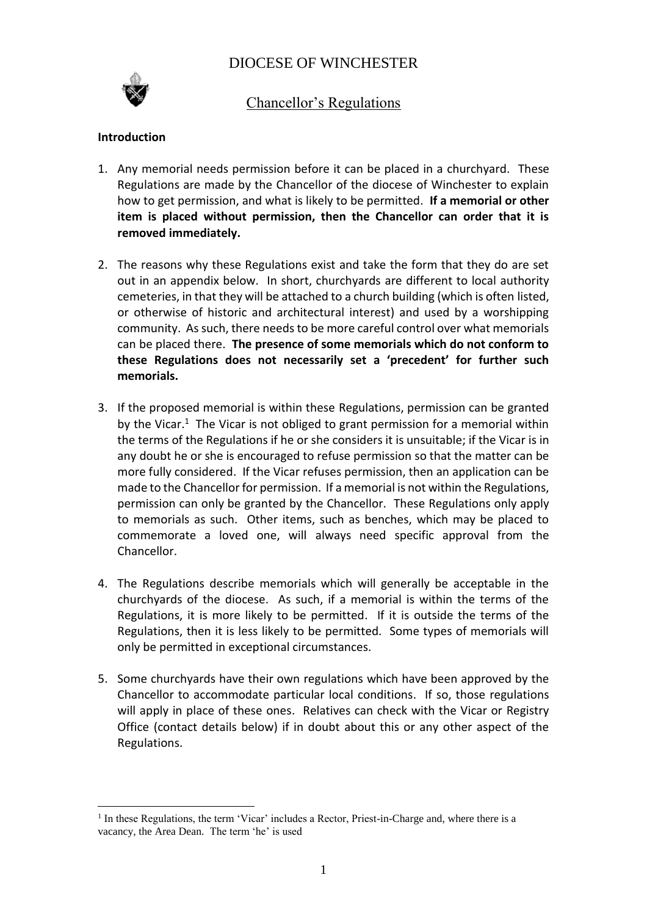# DIOCESE OF WINCHESTER



## Chancellor's Regulations

## **Introduction**

- 1. Any memorial needs permission before it can be placed in a churchyard. These Regulations are made by the Chancellor of the diocese of Winchester to explain how to get permission, and what is likely to be permitted. **If a memorial or other item is placed without permission, then the Chancellor can order that it is removed immediately.**
- 2. The reasons why these Regulations exist and take the form that they do are set out in an appendix below. In short, churchyards are different to local authority cemeteries, in that they will be attached to a church building (which is often listed, or otherwise of historic and architectural interest) and used by a worshipping community. As such, there needs to be more careful control over what memorials can be placed there. **The presence of some memorials which do not conform to these Regulations does not necessarily set a 'precedent' for further such memorials.**
- 3. If the proposed memorial is within these Regulations, permission can be granted by the Vicar.<sup>1</sup> The Vicar is not obliged to grant permission for a memorial within the terms of the Regulations if he or she considers it is unsuitable; if the Vicar is in any doubt he or she is encouraged to refuse permission so that the matter can be more fully considered. If the Vicar refuses permission, then an application can be made to the Chancellor for permission. If a memorial is not within the Regulations, permission can only be granted by the Chancellor. These Regulations only apply to memorials as such. Other items, such as benches, which may be placed to commemorate a loved one, will always need specific approval from the Chancellor.
- 4. The Regulations describe memorials which will generally be acceptable in the churchyards of the diocese. As such, if a memorial is within the terms of the Regulations, it is more likely to be permitted. If it is outside the terms of the Regulations, then it is less likely to be permitted. Some types of memorials will only be permitted in exceptional circumstances.
- 5. Some churchyards have their own regulations which have been approved by the Chancellor to accommodate particular local conditions. If so, those regulations will apply in place of these ones. Relatives can check with the Vicar or Registry Office (contact details below) if in doubt about this or any other aspect of the Regulations.

 $\overline{a}$ <sup>1</sup> In these Regulations, the term 'Vicar' includes a Rector, Priest-in-Charge and, where there is a vacancy, the Area Dean. The term 'he' is used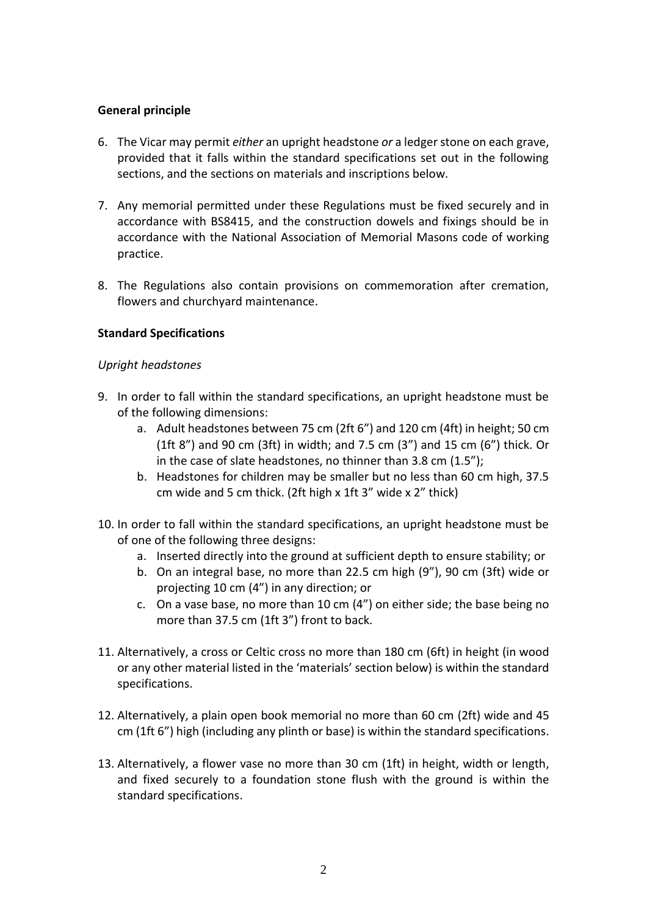## **General principle**

- 6. The Vicar may permit *either* an upright headstone *or* a ledger stone on each grave, provided that it falls within the standard specifications set out in the following sections, and the sections on materials and inscriptions below.
- 7. Any memorial permitted under these Regulations must be fixed securely and in accordance with BS8415, and the construction dowels and fixings should be in accordance with the National Association of Memorial Masons code of working practice.
- 8. The Regulations also contain provisions on commemoration after cremation, flowers and churchyard maintenance.

## **Standard Specifications**

#### *Upright headstones*

- 9. In order to fall within the standard specifications, an upright headstone must be of the following dimensions:
	- a. Adult headstones between 75 cm (2ft 6") and 120 cm (4ft) in height; 50 cm (1ft 8") and 90 cm (3ft) in width; and 7.5 cm (3") and 15 cm (6") thick. Or in the case of slate headstones, no thinner than 3.8 cm (1.5");
	- b. Headstones for children may be smaller but no less than 60 cm high, 37.5 cm wide and 5 cm thick. (2ft high x 1ft 3" wide x 2" thick)
- 10. In order to fall within the standard specifications, an upright headstone must be of one of the following three designs:
	- a. Inserted directly into the ground at sufficient depth to ensure stability; or
	- b. On an integral base, no more than 22.5 cm high (9"), 90 cm (3ft) wide or projecting 10 cm (4") in any direction; or
	- c. On a vase base, no more than 10 cm (4") on either side; the base being no more than 37.5 cm (1ft 3") front to back.
- 11. Alternatively, a cross or Celtic cross no more than 180 cm (6ft) in height (in wood or any other material listed in the 'materials' section below) is within the standard specifications.
- 12. Alternatively, a plain open book memorial no more than 60 cm (2ft) wide and 45 cm (1ft 6") high (including any plinth or base) is within the standard specifications.
- 13. Alternatively, a flower vase no more than 30 cm (1ft) in height, width or length, and fixed securely to a foundation stone flush with the ground is within the standard specifications.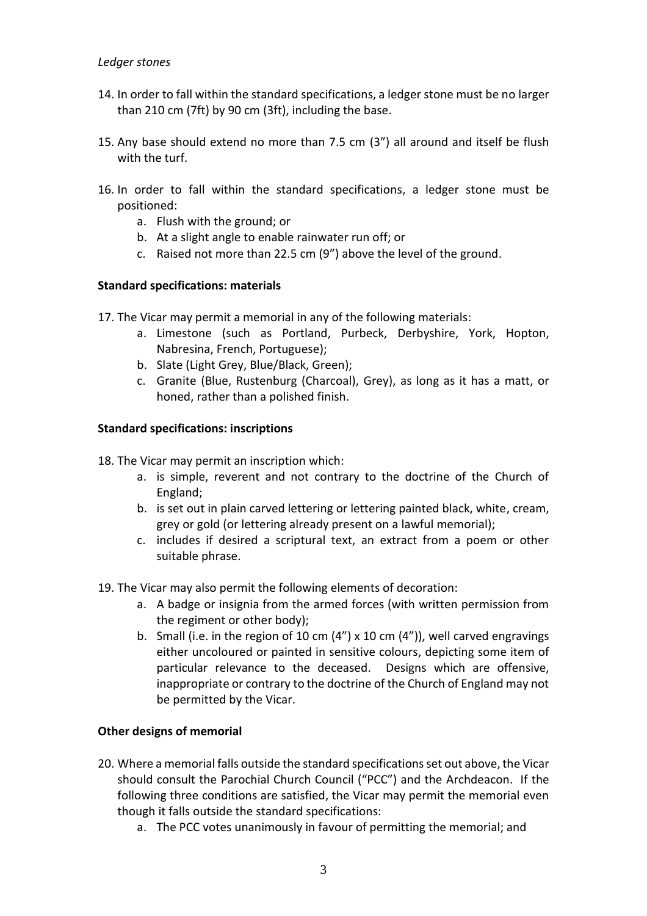- 14. In order to fall within the standard specifications, a ledger stone must be no larger than 210 cm (7ft) by 90 cm (3ft), including the base.
- 15. Any base should extend no more than 7.5 cm (3") all around and itself be flush with the turf.
- 16. In order to fall within the standard specifications, a ledger stone must be positioned:
	- a. Flush with the ground; or
	- b. At a slight angle to enable rainwater run off; or
	- c. Raised not more than 22.5 cm (9") above the level of the ground.

## **Standard specifications: materials**

- 17. The Vicar may permit a memorial in any of the following materials:
	- a. Limestone (such as Portland, Purbeck, Derbyshire, York, Hopton, Nabresina, French, Portuguese);
	- b. Slate (Light Grey, Blue/Black, Green);
	- c. Granite (Blue, Rustenburg (Charcoal), Grey), as long as it has a matt, or honed, rather than a polished finish.

#### **Standard specifications: inscriptions**

- 18. The Vicar may permit an inscription which:
	- a. is simple, reverent and not contrary to the doctrine of the Church of England;
	- b. is set out in plain carved lettering or lettering painted black, white, cream, grey or gold (or lettering already present on a lawful memorial);
	- c. includes if desired a scriptural text, an extract from a poem or other suitable phrase.
- 19. The Vicar may also permit the following elements of decoration:
	- a. A badge or insignia from the armed forces (with written permission from the regiment or other body);
	- b. Small (i.e. in the region of 10 cm  $(4'')$  x 10 cm  $(4'')$ ), well carved engravings either uncoloured or painted in sensitive colours, depicting some item of particular relevance to the deceased. Designs which are offensive, inappropriate or contrary to the doctrine of the Church of England may not be permitted by the Vicar.

#### **Other designs of memorial**

- 20. Where a memorial falls outside the standard specifications set out above, the Vicar should consult the Parochial Church Council ("PCC") and the Archdeacon. If the following three conditions are satisfied, the Vicar may permit the memorial even though it falls outside the standard specifications:
	- a. The PCC votes unanimously in favour of permitting the memorial; and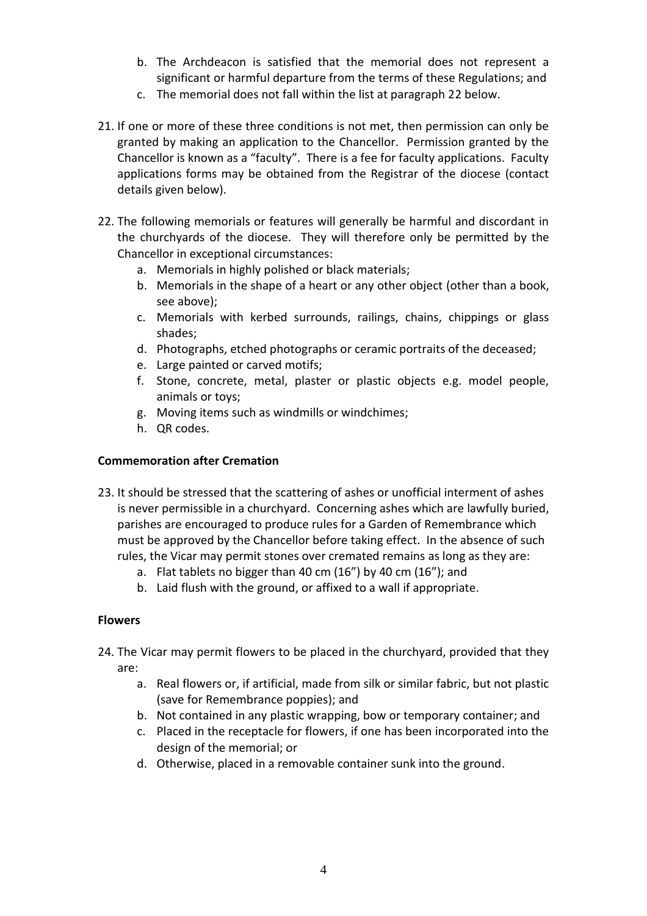- b. The Archdeacon is satisfied that the memorial does not represent a significant or harmful departure from the terms of these Regulations; and
- c. The memorial does not fall within the list at paragraph 22 below.
- 21. If one or more of these three conditions is not met, then permission can only be granted by making an application to the Chancellor. Permission granted by the Chancellor is known as a "faculty". There is a fee for faculty applications. Faculty applications forms may be obtained from the Registrar of the diocese (contact details given below).
- 22. The following memorials or features will generally be harmful and discordant in the churchyards of the diocese. They will therefore only be permitted by the Chancellor in exceptional circumstances:
	- a. Memorials in highly polished or black materials;
	- b. Memorials in the shape of a heart or any other object (other than a book, see above);
	- c. Memorials with kerbed surrounds, railings, chains, chippings or glass shades;
	- d. Photographs, etched photographs or ceramic portraits of the deceased;
	- e. Large painted or carved motifs;
	- f. Stone, concrete, metal, plaster or plastic objects e.g. model people, animals or toys;
	- g. Moving items such as windmills or windchimes;
	- h. QR codes.

#### **Commemoration after Cremation**

- 23. It should be stressed that the scattering of ashes or unofficial interment of ashes is never permissible in a churchyard. Concerning ashes which are lawfully buried, parishes are encouraged to produce rules for a Garden of Remembrance which must be approved by the Chancellor before taking effect. In the absence of such rules, the Vicar may permit stones over cremated remains as long as they are:
	- a. Flat tablets no bigger than 40 cm (16") by 40 cm (16"); and
	- b. Laid flush with the ground, or affixed to a wall if appropriate.

#### **Flowers**

- 24. The Vicar may permit flowers to be placed in the churchyard, provided that they are:
	- a. Real flowers or, if artificial, made from silk or similar fabric, but not plastic (save for Remembrance poppies); and
	- b. Not contained in any plastic wrapping, bow or temporary container; and
	- c. Placed in the receptacle for flowers, if one has been incorporated into the design of the memorial; or
	- d. Otherwise, placed in a removable container sunk into the ground.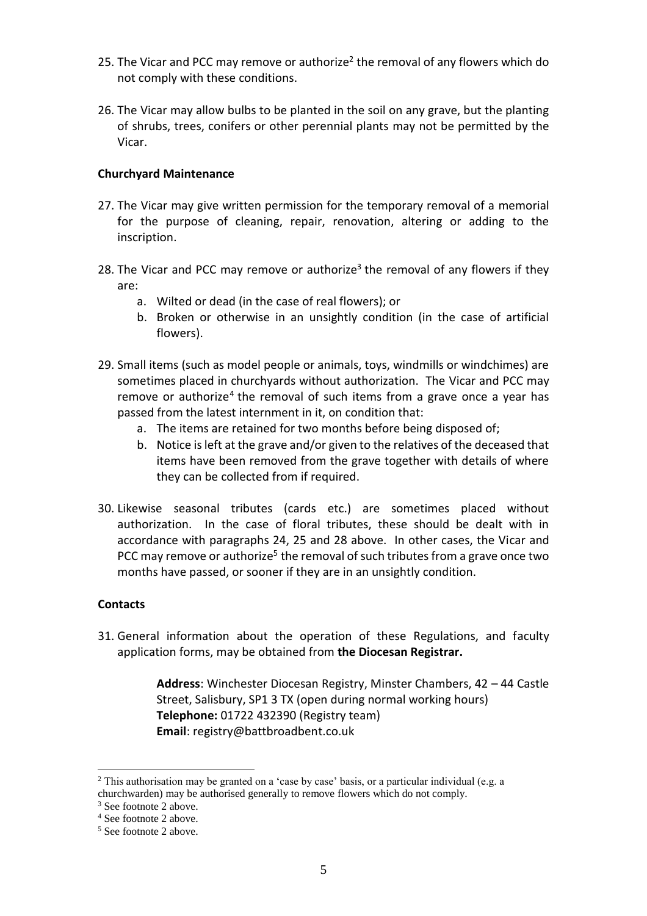- 25. The Vicar and PCC may remove or authorize<sup>2</sup> the removal of any flowers which do not comply with these conditions.
- 26. The Vicar may allow bulbs to be planted in the soil on any grave, but the planting of shrubs, trees, conifers or other perennial plants may not be permitted by the Vicar.

## **Churchyard Maintenance**

- 27. The Vicar may give written permission for the temporary removal of a memorial for the purpose of cleaning, repair, renovation, altering or adding to the inscription.
- 28. The Vicar and PCC may remove or authorize<sup>3</sup> the removal of any flowers if they are:
	- a. Wilted or dead (in the case of real flowers); or
	- b. Broken or otherwise in an unsightly condition (in the case of artificial flowers).
- 29. Small items (such as model people or animals, toys, windmills or windchimes) are sometimes placed in churchyards without authorization. The Vicar and PCC may remove or authorize<sup>4</sup> the removal of such items from a grave once a year has passed from the latest internment in it, on condition that:
	- a. The items are retained for two months before being disposed of;
	- b. Notice is left at the grave and/or given to the relatives of the deceased that items have been removed from the grave together with details of where they can be collected from if required.
- 30. Likewise seasonal tributes (cards etc.) are sometimes placed without authorization. In the case of floral tributes, these should be dealt with in accordance with paragraphs 24, 25 and 28 above. In other cases, the Vicar and PCC may remove or authorize<sup>5</sup> the removal of such tributes from a grave once two months have passed, or sooner if they are in an unsightly condition.

#### **Contacts**

31. General information about the operation of these Regulations, and faculty application forms, may be obtained from **the Diocesan Registrar.**

> **Address**: Winchester Diocesan Registry, Minster Chambers, 42 – 44 Castle Street, Salisbury, SP1 3 TX (open during normal working hours) **Telephone:** 01722 432390 (Registry team) **Email**: registry@battbroadbent.co.uk

 $\overline{a}$ <sup>2</sup> This authorisation may be granted on a 'case by case' basis, or a particular individual (e.g. a churchwarden) may be authorised generally to remove flowers which do not comply.

<sup>3</sup> See footnote 2 above.

<sup>4</sup> See footnote 2 above.

<sup>5</sup> See footnote 2 above.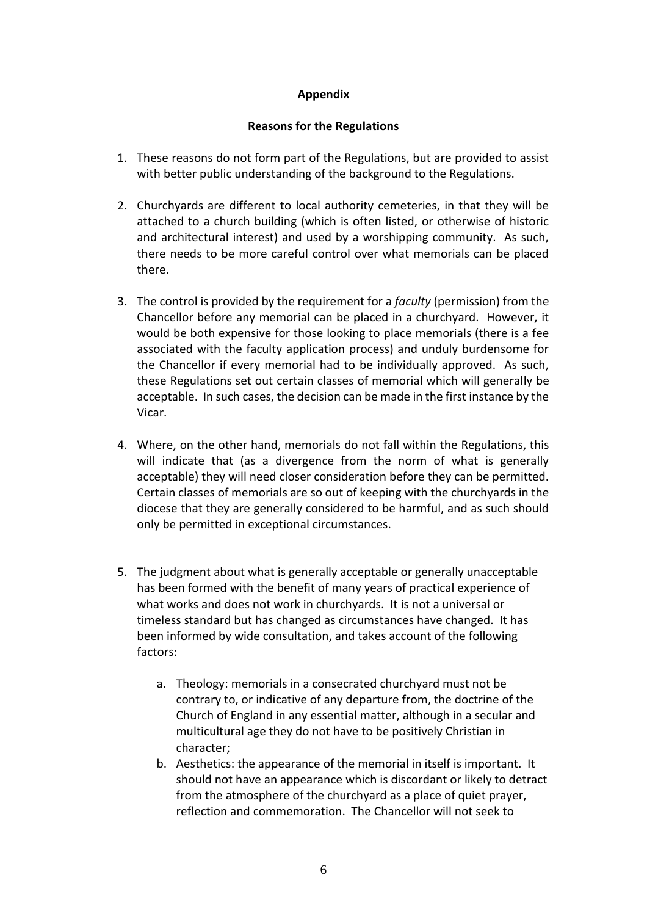## **Appendix**

#### **Reasons for the Regulations**

- 1. These reasons do not form part of the Regulations, but are provided to assist with better public understanding of the background to the Regulations.
- 2. Churchyards are different to local authority cemeteries, in that they will be attached to a church building (which is often listed, or otherwise of historic and architectural interest) and used by a worshipping community. As such, there needs to be more careful control over what memorials can be placed there.
- 3. The control is provided by the requirement for a *faculty* (permission) from the Chancellor before any memorial can be placed in a churchyard. However, it would be both expensive for those looking to place memorials (there is a fee associated with the faculty application process) and unduly burdensome for the Chancellor if every memorial had to be individually approved. As such, these Regulations set out certain classes of memorial which will generally be acceptable. In such cases, the decision can be made in the first instance by the Vicar.
- 4. Where, on the other hand, memorials do not fall within the Regulations, this will indicate that (as a divergence from the norm of what is generally acceptable) they will need closer consideration before they can be permitted. Certain classes of memorials are so out of keeping with the churchyards in the diocese that they are generally considered to be harmful, and as such should only be permitted in exceptional circumstances.
- 5. The judgment about what is generally acceptable or generally unacceptable has been formed with the benefit of many years of practical experience of what works and does not work in churchyards. It is not a universal or timeless standard but has changed as circumstances have changed. It has been informed by wide consultation, and takes account of the following factors:
	- a. Theology: memorials in a consecrated churchyard must not be contrary to, or indicative of any departure from, the doctrine of the Church of England in any essential matter, although in a secular and multicultural age they do not have to be positively Christian in character;
	- b. Aesthetics: the appearance of the memorial in itself is important. It should not have an appearance which is discordant or likely to detract from the atmosphere of the churchyard as a place of quiet prayer, reflection and commemoration. The Chancellor will not seek to